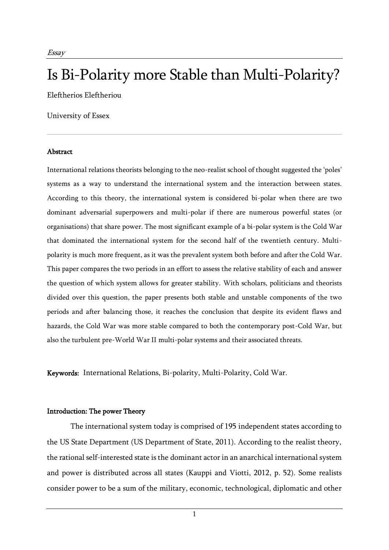# Is Bi-Polarity more Stable than Multi-Polarity?

Eleftherios Eleftheriou

University of Essex

#### Abstract

International relations theorists belonging to the neo-realist school of thought suggested the 'poles' systems as a way to understand the international system and the interaction between states. According to this theory, the international system is considered bi-polar when there are two dominant adversarial superpowers and multi-polar if there are numerous powerful states (or organisations) that share power. The most significant example of a bi-polar system is the Cold War that dominated the international system for the second half of the twentieth century. Multipolarity is much more frequent, as it was the prevalent system both before and after the Cold War. This paper compares the two periods in an effort to assess the relative stability of each and answer the question of which system allows for greater stability. With scholars, politicians and theorists divided over this question, the paper presents both stable and unstable components of the two periods and after balancing those, it reaches the conclusion that despite its evident flaws and hazards, the Cold War was more stable compared to both the contemporary post-Cold War, but also the turbulent pre-World War II multi-polar systems and their associated threats.

Keywords: International Relations, Bi-polarity, Multi-Polarity, Cold War.

## Introduction: The power Theory

The international system today is comprised of 195 independent states according to the US State Department (US Department of State, 2011). According to the realist theory, the rational self-interested state is the dominant actor in an anarchical international system and power is distributed across all states (Kauppi and Viotti, 2012, p. 52). Some realists consider power to be a sum of the military, economic, technological, diplomatic and other

1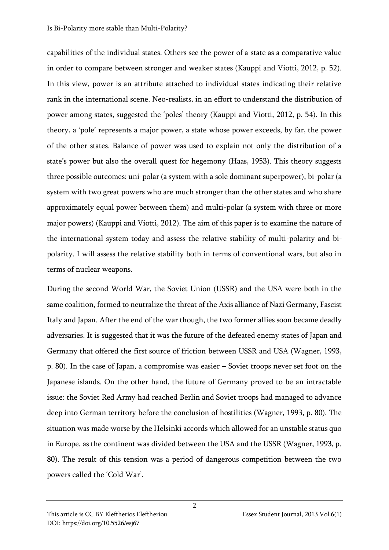#### Is Bi-Polarity more stable than Multi-Polarity?

capabilities of the individual states. Others see the power of a state as a comparative value in order to compare between stronger and weaker states (Kauppi and Viotti, 2012, p. 52). In this view, power is an attribute attached to individual states indicating their relative rank in the international scene. Neo-realists, in an effort to understand the distribution of power among states, suggested the 'poles' theory (Kauppi and Viotti, 2012, p. 54). In this theory, a 'pole' represents a major power, a state whose power exceeds, by far, the power of the other states. Balance of power was used to explain not only the distribution of a state's power but also the overall quest for hegemony (Haas, 1953). This theory suggests three possible outcomes: uni-polar (a system with a sole dominant superpower), bi-polar (a system with two great powers who are much stronger than the other states and who share approximately equal power between them) and multi-polar (a system with three or more major powers) (Kauppi and Viotti, 2012). The aim of this paper is to examine the nature of the international system today and assess the relative stability of multi-polarity and bipolarity. I will assess the relative stability both in terms of conventional wars, but also in terms of nuclear weapons.

During the second World War, the Soviet Union (USSR) and the USA were both in the same coalition, formed to neutralize the threat of the Axis alliance of Nazi Germany, Fascist Italy and Japan. After the end of the war though, the two former allies soon became deadly adversaries. It is suggested that it was the future of the defeated enemy states of Japan and Germany that offered the first source of friction between USSR and USA (Wagner, 1993, p. 80). In the case of Japan, a compromise was easier – Soviet troops never set foot on the Japanese islands. On the other hand, the future of Germany proved to be an intractable issue: the Soviet Red Army had reached Berlin and Soviet troops had managed to advance deep into German territory before the conclusion of hostilities (Wagner, 1993, p. 80). The situation was made worse by the Helsinki accords which allowed for an unstable status quo in Europe, as the continent was divided between the USA and the USSR (Wagner, 1993, p. 80). The result of this tension was a period of dangerous competition between the two powers called the 'Cold War'.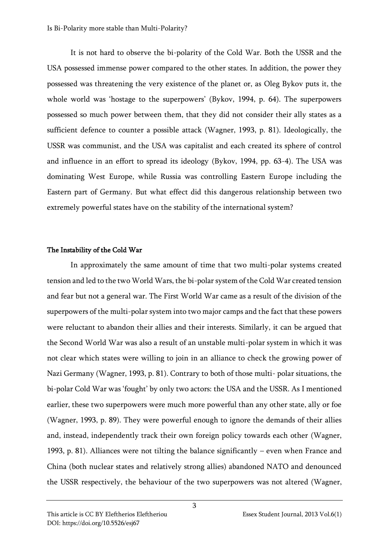It is not hard to observe the bi-polarity of the Cold War. Both the USSR and the USA possessed immense power compared to the other states. In addition, the power they possessed was threatening the very existence of the planet or, as Oleg Bykov puts it, the whole world was 'hostage to the superpowers' (Bykov, 1994, p. 64). The superpowers possessed so much power between them, that they did not consider their ally states as a sufficient defence to counter a possible attack (Wagner, 1993, p. 81). Ideologically, the USSR was communist, and the USA was capitalist and each created its sphere of control and influence in an effort to spread its ideology (Bykov, 1994, pp. 63-4). The USA was dominating West Europe, while Russia was controlling Eastern Europe including the Eastern part of Germany. But what effect did this dangerous relationship between two extremely powerful states have on the stability of the international system?

### The Instability of the Cold War

In approximately the same amount of time that two multi-polar systems created tension and led to the two World Wars, the bi-polar system of the Cold War created tension and fear but not a general war. The First World War came as a result of the division of the superpowers of the multi-polar system into two major camps and the fact that these powers were reluctant to abandon their allies and their interests. Similarly, it can be argued that the Second World War was also a result of an unstable multi-polar system in which it was not clear which states were willing to join in an alliance to check the growing power of Nazi Germany (Wagner, 1993, p. 81). Contrary to both of those multi- polar situations, the bi-polar Cold War was 'fought' by only two actors: the USA and the USSR. As I mentioned earlier, these two superpowers were much more powerful than any other state, ally or foe (Wagner, 1993, p. 89). They were powerful enough to ignore the demands of their allies and, instead, independently track their own foreign policy towards each other (Wagner, 1993, p. 81). Alliances were not tilting the balance significantly – even when France and China (both nuclear states and relatively strong allies) abandoned NATO and denounced the USSR respectively, the behaviour of the two superpowers was not altered (Wagner,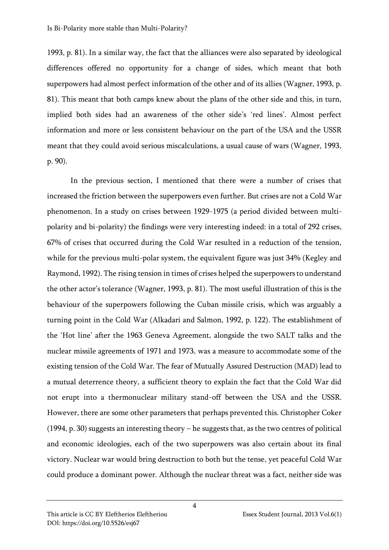1993, p. 81). In a similar way, the fact that the alliances were also separated by ideological differences offered no opportunity for a change of sides, which meant that both superpowers had almost perfect information of the other and of its allies (Wagner, 1993, p. 81). This meant that both camps knew about the plans of the other side and this, in turn, implied both sides had an awareness of the other side's 'red lines'. Almost perfect information and more or less consistent behaviour on the part of the USA and the USSR meant that they could avoid serious miscalculations, a usual cause of wars (Wagner, 1993, p. 90).

In the previous section, I mentioned that there were a number of crises that increased the friction between the superpowers even further. But crises are not a Cold War phenomenon. In a study on crises between 1929-1975 (a period divided between multipolarity and bi-polarity) the findings were very interesting indeed: in a total of 292 crises, 67% of crises that occurred during the Cold War resulted in a reduction of the tension, while for the previous multi-polar system, the equivalent figure was just 34% (Kegley and Raymond, 1992). The rising tension in times of crises helped the superpowers to understand the other actor's tolerance (Wagner, 1993, p. 81). The most useful illustration of this is the behaviour of the superpowers following the Cuban missile crisis, which was arguably a turning point in the Cold War (Alkadari and Salmon, 1992, p. 122). The establishment of the 'Hot line' after the 1963 Geneva Agreement, alongside the two SALT talks and the nuclear missile agreements of 1971 and 1973, was a measure to accommodate some of the existing tension of the Cold War. The fear of Mutually Assured Destruction (MAD) lead to a mutual deterrence theory, a sufficient theory to explain the fact that the Cold War did not erupt into a thermonuclear military stand-off between the USA and the USSR. However, there are some other parameters that perhaps prevented this. Christopher Coker (1994, p. 30) suggests an interesting theory – he suggests that, as the two centres of political and economic ideologies, each of the two superpowers was also certain about its final victory. Nuclear war would bring destruction to both but the tense, yet peaceful Cold War could produce a dominant power. Although the nuclear threat was a fact, neither side was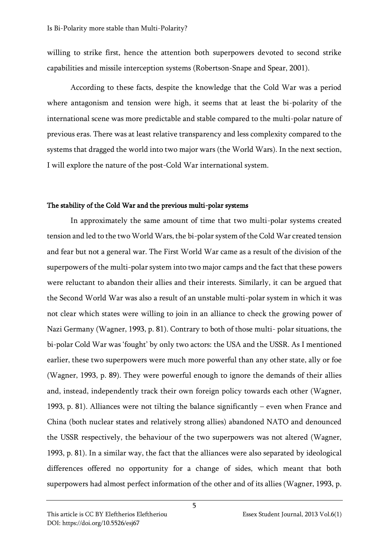willing to strike first, hence the attention both superpowers devoted to second strike capabilities and missile interception systems (Robertson-Snape and Spear, 2001).

According to these facts, despite the knowledge that the Cold War was a period where antagonism and tension were high, it seems that at least the bi-polarity of the international scene was more predictable and stable compared to the multi-polar nature of previous eras. There was at least relative transparency and less complexity compared to the systems that dragged the world into two major wars (the World Wars). In the next section, I will explore the nature of the post-Cold War international system.

### The stability of the Cold War and the previous multi-polar systems

In approximately the same amount of time that two multi-polar systems created tension and led to the two World Wars, the bi-polar system of the Cold War created tension and fear but not a general war. The First World War came as a result of the division of the superpowers of the multi-polar system into two major camps and the fact that these powers were reluctant to abandon their allies and their interests. Similarly, it can be argued that the Second World War was also a result of an unstable multi-polar system in which it was not clear which states were willing to join in an alliance to check the growing power of Nazi Germany (Wagner, 1993, p. 81). Contrary to both of those multi- polar situations, the bi-polar Cold War was 'fought' by only two actors: the USA and the USSR. As I mentioned earlier, these two superpowers were much more powerful than any other state, ally or foe (Wagner, 1993, p. 89). They were powerful enough to ignore the demands of their allies and, instead, independently track their own foreign policy towards each other (Wagner, 1993, p. 81). Alliances were not tilting the balance significantly – even when France and China (both nuclear states and relatively strong allies) abandoned NATO and denounced the USSR respectively, the behaviour of the two superpowers was not altered (Wagner, 1993, p. 81). In a similar way, the fact that the alliances were also separated by ideological differences offered no opportunity for a change of sides, which meant that both superpowers had almost perfect information of the other and of its allies (Wagner, 1993, p.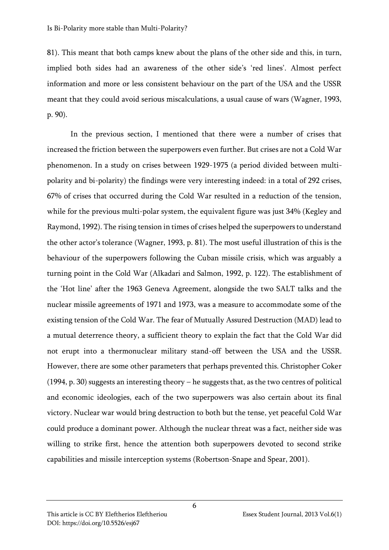81). This meant that both camps knew about the plans of the other side and this, in turn, implied both sides had an awareness of the other side's 'red lines'. Almost perfect information and more or less consistent behaviour on the part of the USA and the USSR meant that they could avoid serious miscalculations, a usual cause of wars (Wagner, 1993, p. 90).

In the previous section, I mentioned that there were a number of crises that increased the friction between the superpowers even further. But crises are not a Cold War phenomenon. In a study on crises between 1929-1975 (a period divided between multipolarity and bi-polarity) the findings were very interesting indeed: in a total of 292 crises, 67% of crises that occurred during the Cold War resulted in a reduction of the tension, while for the previous multi-polar system, the equivalent figure was just 34% (Kegley and Raymond, 1992). The rising tension in times of crises helped the superpowers to understand the other actor's tolerance (Wagner, 1993, p. 81). The most useful illustration of this is the behaviour of the superpowers following the Cuban missile crisis, which was arguably a turning point in the Cold War (Alkadari and Salmon, 1992, p. 122). The establishment of the 'Hot line' after the 1963 Geneva Agreement, alongside the two SALT talks and the nuclear missile agreements of 1971 and 1973, was a measure to accommodate some of the existing tension of the Cold War. The fear of Mutually Assured Destruction (MAD) lead to a mutual deterrence theory, a sufficient theory to explain the fact that the Cold War did not erupt into a thermonuclear military stand-off between the USA and the USSR. However, there are some other parameters that perhaps prevented this. Christopher Coker (1994, p. 30) suggests an interesting theory – he suggests that, as the two centres of political and economic ideologies, each of the two superpowers was also certain about its final victory. Nuclear war would bring destruction to both but the tense, yet peaceful Cold War could produce a dominant power. Although the nuclear threat was a fact, neither side was willing to strike first, hence the attention both superpowers devoted to second strike capabilities and missile interception systems (Robertson-Snape and Spear, 2001).

6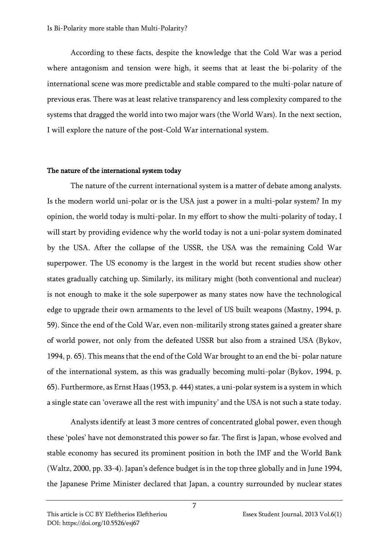According to these facts, despite the knowledge that the Cold War was a period where antagonism and tension were high, it seems that at least the bi-polarity of the international scene was more predictable and stable compared to the multi-polar nature of previous eras. There was at least relative transparency and less complexity compared to the systems that dragged the world into two major wars (the World Wars). In the next section, I will explore the nature of the post-Cold War international system.

#### The nature of the international system today

The nature of the current international system is a matter of debate among analysts. Is the modern world uni-polar or is the USA just a power in a multi-polar system? In my opinion, the world today is multi-polar. In my effort to show the multi-polarity of today, I will start by providing evidence why the world today is not a uni-polar system dominated by the USA. After the collapse of the USSR, the USA was the remaining Cold War superpower. The US economy is the largest in the world but recent studies show other states gradually catching up. Similarly, its military might (both conventional and nuclear) is not enough to make it the sole superpower as many states now have the technological edge to upgrade their own armaments to the level of US built weapons (Mastny, 1994, p. 59). Since the end of the Cold War, even non-militarily strong states gained a greater share of world power, not only from the defeated USSR but also from a strained USA (Bykov, 1994, p. 65). This means that the end of the Cold War brought to an end the bi- polar nature of the international system, as this was gradually becoming multi-polar (Bykov, 1994, p. 65). Furthermore, as Ernst Haas (1953, p. 444) states, a uni-polar system is a system in which a single state can 'overawe all the rest with impunity' and the USA is not such a state today.

Analysts identify at least 3 more centres of concentrated global power, even though these 'poles' have not demonstrated this power so far. The first is Japan, whose evolved and stable economy has secured its prominent position in both the IMF and the World Bank (Waltz, 2000, pp. 33-4). Japan's defence budget is in the top three globally and in June 1994, the Japanese Prime Minister declared that Japan, a country surrounded by nuclear states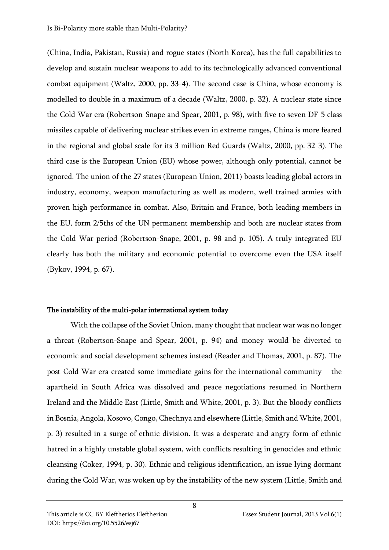(China, India, Pakistan, Russia) and rogue states (North Korea), has the full capabilities to develop and sustain nuclear weapons to add to its technologically advanced conventional combat equipment (Waltz, 2000, pp. 33-4). The second case is China, whose economy is modelled to double in a maximum of a decade (Waltz, 2000, p. 32). A nuclear state since the Cold War era (Robertson-Snape and Spear, 2001, p. 98), with five to seven DF-5 class missiles capable of delivering nuclear strikes even in extreme ranges, China is more feared in the regional and global scale for its 3 million Red Guards (Waltz, 2000, pp. 32-3). The third case is the European Union (EU) whose power, although only potential, cannot be ignored. The union of the 27 states (European Union, 2011) boasts leading global actors in industry, economy, weapon manufacturing as well as modern, well trained armies with proven high performance in combat. Also, Britain and France, both leading members in the EU, form 2/5ths of the UN permanent membership and both are nuclear states from the Cold War period (Robertson-Snape, 2001, p. 98 and p. 105). A truly integrated EU clearly has both the military and economic potential to overcome even the USA itself (Bykov, 1994, p. 67).

#### The instability of the multi-polar international system today

With the collapse of the Soviet Union, many thought that nuclear war was no longer a threat (Robertson-Snape and Spear, 2001, p. 94) and money would be diverted to economic and social development schemes instead (Reader and Thomas, 2001, p. 87). The post-Cold War era created some immediate gains for the international community – the apartheid in South Africa was dissolved and peace negotiations resumed in Northern Ireland and the Middle East (Little, Smith and White, 2001, p. 3). But the bloody conflicts in Bosnia, Angola, Kosovo, Congo, Chechnya and elsewhere (Little, Smith and White, 2001, p. 3) resulted in a surge of ethnic division. It was a desperate and angry form of ethnic hatred in a highly unstable global system, with conflicts resulting in genocides and ethnic cleansing (Coker, 1994, p. 30). Ethnic and religious identification, an issue lying dormant during the Cold War, was woken up by the instability of the new system (Little, Smith and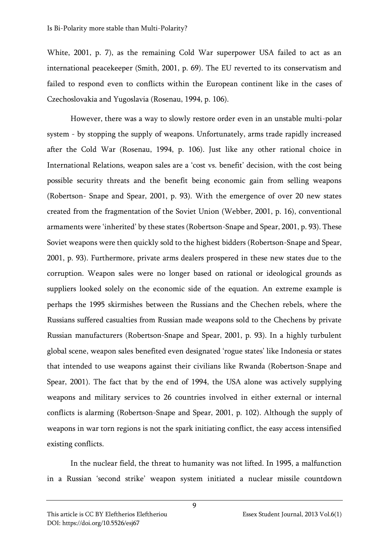White, 2001, p. 7), as the remaining Cold War superpower USA failed to act as an international peacekeeper (Smith, 2001, p. 69). The EU reverted to its conservatism and failed to respond even to conflicts within the European continent like in the cases of Czechoslovakia and Yugoslavia (Rosenau, 1994, p. 106).

However, there was a way to slowly restore order even in an unstable multi-polar system - by stopping the supply of weapons. Unfortunately, arms trade rapidly increased after the Cold War (Rosenau, 1994, p. 106). Just like any other rational choice in International Relations, weapon sales are a 'cost vs. benefit' decision, with the cost being possible security threats and the benefit being economic gain from selling weapons (Robertson- Snape and Spear, 2001, p. 93). With the emergence of over 20 new states created from the fragmentation of the Soviet Union (Webber, 2001, p. 16), conventional armaments were 'inherited' by these states (Robertson-Snape and Spear, 2001, p. 93). These Soviet weapons were then quickly sold to the highest bidders (Robertson-Snape and Spear, 2001, p. 93). Furthermore, private arms dealers prospered in these new states due to the corruption. Weapon sales were no longer based on rational or ideological grounds as suppliers looked solely on the economic side of the equation. An extreme example is perhaps the 1995 skirmishes between the Russians and the Chechen rebels, where the Russians suffered casualties from Russian made weapons sold to the Chechens by private Russian manufacturers (Robertson-Snape and Spear, 2001, p. 93). In a highly turbulent global scene, weapon sales benefited even designated 'rogue states' like Indonesia or states that intended to use weapons against their civilians like Rwanda (Robertson-Snape and Spear, 2001). The fact that by the end of 1994, the USA alone was actively supplying weapons and military services to 26 countries involved in either external or internal conflicts is alarming (Robertson-Snape and Spear, 2001, p. 102). Although the supply of weapons in war torn regions is not the spark initiating conflict, the easy access intensified existing conflicts.

In the nuclear field, the threat to humanity was not lifted. In 1995, a malfunction in a Russian 'second strike' weapon system initiated a nuclear missile countdown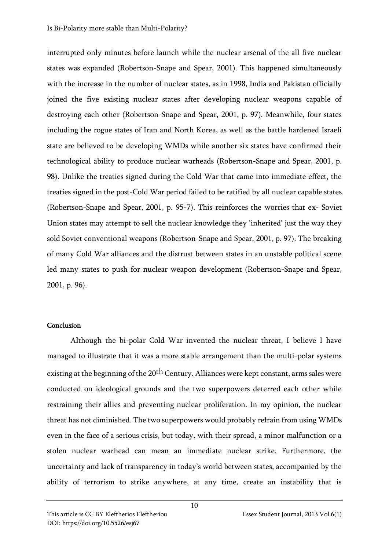interrupted only minutes before launch while the nuclear arsenal of the all five nuclear states was expanded (Robertson-Snape and Spear, 2001). This happened simultaneously with the increase in the number of nuclear states, as in 1998, India and Pakistan officially joined the five existing nuclear states after developing nuclear weapons capable of destroying each other (Robertson-Snape and Spear, 2001, p. 97). Meanwhile, four states including the rogue states of Iran and North Korea, as well as the battle hardened Israeli state are believed to be developing WMDs while another six states have confirmed their technological ability to produce nuclear warheads (Robertson-Snape and Spear, 2001, p. 98). Unlike the treaties signed during the Cold War that came into immediate effect, the treaties signed in the post-Cold War period failed to be ratified by all nuclear capable states (Robertson-Snape and Spear, 2001, p. 95-7). This reinforces the worries that ex- Soviet Union states may attempt to sell the nuclear knowledge they 'inherited' just the way they sold Soviet conventional weapons (Robertson-Snape and Spear, 2001, p. 97). The breaking of many Cold War alliances and the distrust between states in an unstable political scene led many states to push for nuclear weapon development (Robertson-Snape and Spear, 2001, p. 96).

## Conclusion

Although the bi-polar Cold War invented the nuclear threat, I believe I have managed to illustrate that it was a more stable arrangement than the multi-polar systems existing at the beginning of the 20<sup>th</sup> Century. Alliances were kept constant, arms sales were conducted on ideological grounds and the two superpowers deterred each other while restraining their allies and preventing nuclear proliferation. In my opinion, the nuclear threat has not diminished. The two superpowers would probably refrain from using WMDs even in the face of a serious crisis, but today, with their spread, a minor malfunction or a stolen nuclear warhead can mean an immediate nuclear strike. Furthermore, the uncertainty and lack of transparency in today's world between states, accompanied by the ability of terrorism to strike anywhere, at any time, create an instability that is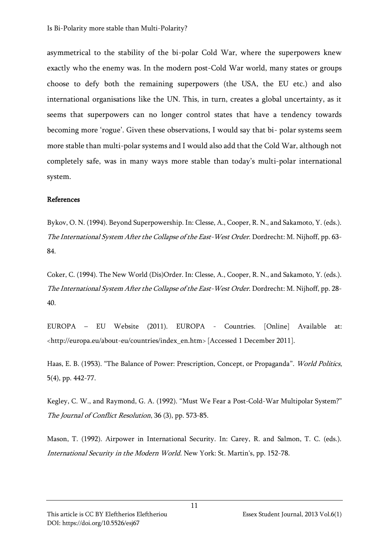asymmetrical to the stability of the bi-polar Cold War, where the superpowers knew exactly who the enemy was. In the modern post-Cold War world, many states or groups choose to defy both the remaining superpowers (the USA, the EU etc.) and also international organisations like the UN. This, in turn, creates a global uncertainty, as it seems that superpowers can no longer control states that have a tendency towards becoming more 'rogue'. Given these observations, I would say that bi- polar systems seem more stable than multi-polar systems and I would also add that the Cold War, although not completely safe, was in many ways more stable than today's multi-polar international system.

### References

Bykov, O. N. (1994). Beyond Superpowership. In: Clesse, A., Cooper, R. N., and Sakamoto, Y. (eds.). The International System After the Collapse of the East-West Order. Dordrecht: M. Nijhoff, pp. 63- 84.

Coker, C. (1994). The New World (Dis)Order. In: Clesse, A., Cooper, R. N., and Sakamoto, Y. (eds.). The International System After the Collapse of the East-West Order. Dordrecht: M. Nijhoff, pp. 28-40.

EUROPA – EU Website (2011). EUROPA - Countries. [Online] Available at: <http://europa.eu/about-eu/countries/index\_en.htm> [Accessed 1 December 2011].

Haas, E. B. (1953). "The Balance of Power: Prescription, Concept, or Propaganda". World Politics, 5(4), pp. 442-77.

Kegley, C. W., and Raymond, G. A. (1992). "Must We Fear a Post-Cold-War Multipolar System?" The Journal of Conflict Resolution, 36 (3), pp. 573-85.

Mason, T. (1992). Airpower in International Security. In: Carey, R. and Salmon, T. C. (eds.). International Security in the Modern World. New York: St. Martin's, pp. 152-78.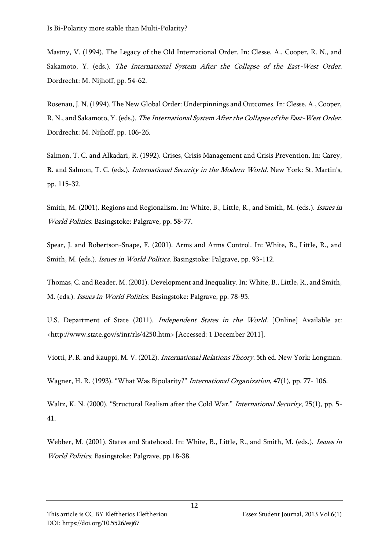Mastny, V. (1994). The Legacy of the Old International Order. In: Clesse, A., Cooper, R. N., and Sakamoto, Y. (eds.). The International System After the Collapse of the East-West Order. Dordrecht: M. Nijhoff, pp. 54-62.

Rosenau, J. N. (1994). The New Global Order: Underpinnings and Outcomes. In: Clesse, A., Cooper, R. N., and Sakamoto, Y. (eds.). The International System After the Collapse of the East-West Order. Dordrecht: M. Nijhoff, pp. 106-26.

Salmon, T. C. and Alkadari, R. (1992). Crises, Crisis Management and Crisis Prevention. In: Carey, R. and Salmon, T. C. (eds.). International Security in the Modern World. New York: St. Martin's, pp. 115-32.

Smith, M. (2001). Regions and Regionalism. In: White, B., Little, R., and Smith, M. (eds.). *Issues in* World Politics. Basingstoke: Palgrave, pp. 58-77.

Spear, J. and Robertson-Snape, F. (2001). Arms and Arms Control. In: White, B., Little, R., and Smith, M. (eds.). *Issues in World Politics*. Basingstoke: Palgrave, pp. 93-112.

Thomas, C. and Reader, M. (2001). Development and Inequality. In: White, B., Little, R., and Smith, M. (eds.). Issues in World Politics. Basingstoke: Palgrave, pp. 78-95.

U.S. Department of State (2011). Independent States in the World. [Online] Available at: <http://www.state.gov/s/inr/rls/4250.htm> [Accessed: 1 December 2011].

Viotti, P. R. and Kauppi, M. V. (2012). International Relations Theory. 5th ed. New York: Longman.

Wagner, H. R. (1993). "What Was Bipolarity?" International Organization, 47(1), pp. 77- 106.

Waltz, K. N. (2000). "Structural Realism after the Cold War." International Security, 25(1), pp. 5-41.

Webber, M. (2001). States and Statehood. In: White, B., Little, R., and Smith, M. (eds.). *Issues in* World Politics. Basingstoke: Palgrave, pp.18-38.